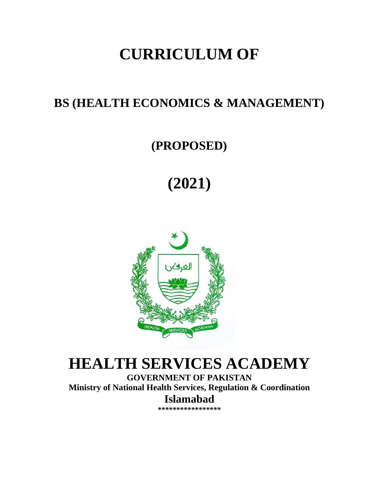# **CURRICULUM OF**

## **BS (HEALTH ECONOMICS & MANAGEMENT)**

## **(PROPOSED)**

# **(2021)**



# **HEALTH SERVICES ACADEMY**

**GOVERNMENT OF PAKISTAN Ministry of National Health Services, Regulation & Coordination Islamabad**

**\*\*\*\*\*\*\*\*\*\*\*\*\*\*\*\*\***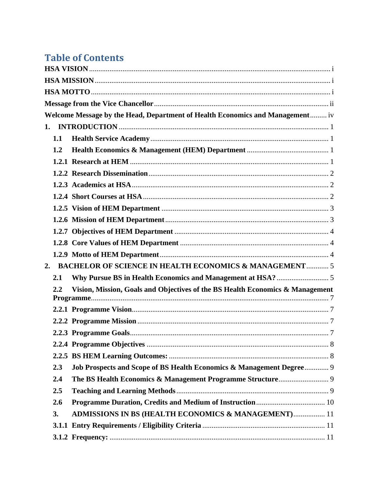## **Table of Contents**

|    |         | Welcome Message by the Head, Department of Health Economics and Management iv |  |
|----|---------|-------------------------------------------------------------------------------|--|
|    |         |                                                                               |  |
|    | 1.1     |                                                                               |  |
|    | 1.2     |                                                                               |  |
|    |         |                                                                               |  |
|    |         |                                                                               |  |
|    |         |                                                                               |  |
|    |         |                                                                               |  |
|    |         |                                                                               |  |
|    |         |                                                                               |  |
|    |         |                                                                               |  |
|    |         |                                                                               |  |
|    |         |                                                                               |  |
| 2. |         | <b>BACHELOR OF SCIENCE IN HEALTH ECONOMICS &amp; MANAGEMENT 5</b>             |  |
|    | 2.1     |                                                                               |  |
|    | $2.2\,$ | Vision, Mission, Goals and Objectives of the BS Health Economics & Management |  |
|    |         |                                                                               |  |
|    |         |                                                                               |  |
|    |         |                                                                               |  |
|    |         |                                                                               |  |
|    |         |                                                                               |  |
|    | 2.3     | Job Prospects and Scope of BS Health Economics & Management Degree 9          |  |
|    | 2.4     |                                                                               |  |
|    | 2.5     |                                                                               |  |
|    | 2.6     |                                                                               |  |
|    | 3.      | <b>ADMISSIONS IN BS (HEALTH ECONOMICS &amp; MANAGEMENT) 11</b>                |  |
|    |         |                                                                               |  |
|    |         |                                                                               |  |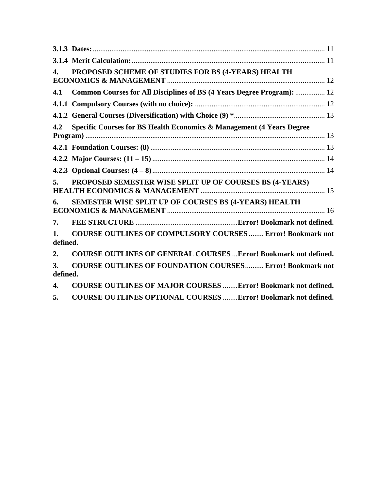| $\mathbf{4}$ . | PROPOSED SCHEME OF STUDIES FOR BS (4-YEARS) HEALTH                      |
|----------------|-------------------------------------------------------------------------|
| 4.1            | Common Courses for All Disciplines of BS (4 Years Degree Program):  12  |
|                |                                                                         |
|                |                                                                         |
| 4.2            | Specific Courses for BS Health Economics & Management (4 Years Degree   |
|                |                                                                         |
|                |                                                                         |
|                |                                                                         |
| 5.             | PROPOSED SEMESTER WISE SPLIT UP OF COURSES BS (4-YEARS)                 |
| 6.             | SEMESTER WISE SPLIT UP OF COURSES BS (4-YEARS) HEALTH                   |
| 7.             |                                                                         |
| 1.<br>defined. | <b>COURSE OUTLINES OF COMPULSORY COURSES  Error! Bookmark not</b>       |
| 2.             | <b>COURSE OUTLINES OF GENERAL COURSES  Error! Bookmark not defined.</b> |
| 3.<br>defined. | <b>COURSE OUTLINES OF FOUNDATION COURSES Error! Bookmark not</b>        |
| 4.             | <b>COURSE OUTLINES OF MAJOR COURSES Error! Bookmark not defined.</b>    |

**5. [COURSE OUTLINES OPTIONAL COURSES](file:///D:/HSA/CURRICULUM/BS/HSA%20%20Scheme%20of%20studies%20for%20BS%20(Health%20Management%20&%20%20%20Economics)(19-08-2020).docx%23_Toc80287390)** ........**Error! Bookmark not defined.**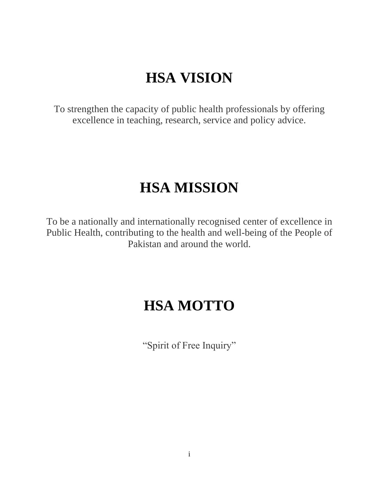# **HSA VISION**

<span id="page-3-0"></span>To strengthen the capacity of public health professionals by offering excellence in teaching, research, service and policy advice.

## **HSA MISSION**

<span id="page-3-2"></span><span id="page-3-1"></span>To be a nationally and internationally recognised center of excellence in Public Health, contributing to the health and well-being of the People of Pakistan and around the world.

## **HSA MOTTO**

"Spirit of Free Inquiry"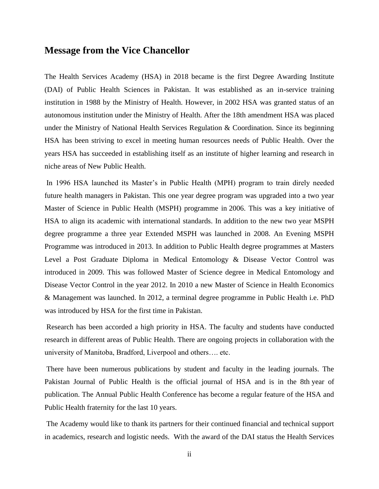#### <span id="page-4-0"></span>**Message from the Vice Chancellor**

The Health Services Academy (HSA) in 2018 became is the first Degree Awarding Institute (DAI) of Public Health Sciences in Pakistan. It was established as an in-service training institution in 1988 by the Ministry of Health. However, in 2002 HSA was granted status of an autonomous institution under the Ministry of Health. After the 18th amendment HSA was placed under the Ministry of National Health Services Regulation & Coordination. Since its beginning HSA has been striving to excel in meeting human resources needs of Public Health. Over the years HSA has succeeded in establishing itself as an institute of higher learning and research in niche areas of New Public Health.

In 1996 HSA launched its Master's in Public Health (MPH) program to train direly needed future health managers in Pakistan. This one year degree program was upgraded into a two year Master of Science in Public Health (MSPH) programme in 2006. This was a key initiative of HSA to align its academic with international standards. In addition to the new two year MSPH degree programme a three year Extended MSPH was launched in 2008. An Evening MSPH Programme was introduced in 2013. In addition to Public Health degree programmes at Masters Level a Post Graduate Diploma in Medical Entomology & Disease Vector Control was introduced in 2009. This was followed Master of Science degree in Medical Entomology and Disease Vector Control in the year 2012. In 2010 a new Master of Science in Health Economics & Management was launched. In 2012, a terminal degree programme in Public Health i.e. PhD was introduced by HSA for the first time in Pakistan.

Research has been accorded a high priority in HSA. The faculty and students have conducted research in different areas of Public Health. There are ongoing projects in collaboration with the university of Manitoba, Bradford, Liverpool and others…. etc.

There have been numerous publications by student and faculty in the leading journals. The Pakistan Journal of Public Health is the official journal of HSA and is in the 8th year of publication. The Annual Public Health Conference has become a regular feature of the HSA and Public Health fraternity for the last 10 years.

The Academy would like to thank its partners for their continued financial and technical support in academics, research and logistic needs. With the award of the DAI status the Health Services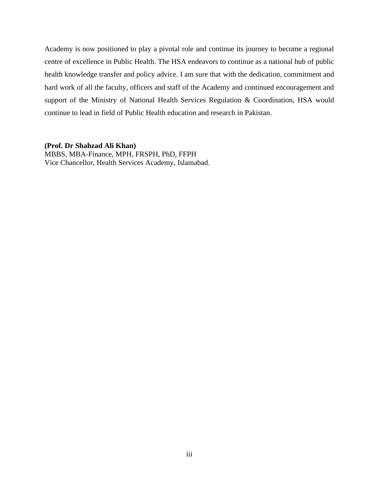Academy is now positioned to play a pivotal role and continue its journey to become a regional centre of excellence in Public Health. The HSA endeavors to continue as a national hub of public health knowledge transfer and policy advice. I am sure that with the dedication, commitment and hard work of all the faculty, officers and staff of the Academy and continued encouragement and support of the Ministry of National Health Services Regulation & Coordination, HSA would continue to lead in field of Public Health education and research in Pakistan.

#### **(Prof. Dr Shahzad Ali Khan)**

MBBS, MBA-Finance, MPH, FRSPH, PhD, FFPH Vice Chancellor, Health Services Academy, Islamabad.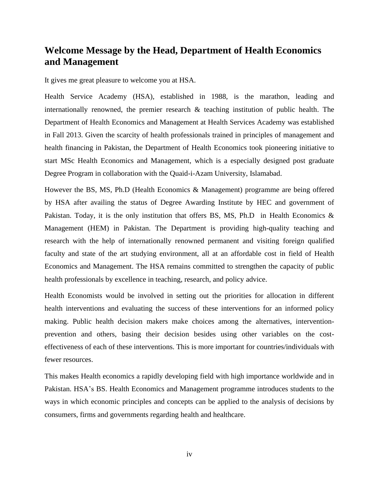### <span id="page-6-0"></span>**Welcome Message by the Head, Department of Health Economics and Management**

It gives me great pleasure to welcome you at HSA.

Health Service Academy (HSA), established in 1988, is the marathon, leading and internationally renowned, the premier research & teaching institution of public health. The Department of Health Economics and Management at Health Services Academy was established in Fall 2013. Given the scarcity of health professionals trained in principles of management and health financing in Pakistan, the Department of Health Economics took pioneering initiative to start MSc Health Economics and Management, which is a especially designed post graduate Degree Program in collaboration with the Quaid-i-Azam University, Islamabad.

However the BS, MS, Ph.D (Health Economics & Management) programme are being offered by HSA after availing the status of Degree Awarding Institute by HEC and government of Pakistan. Today, it is the only institution that offers BS, MS, Ph.D in Health Economics & Management (HEM) in Pakistan. The Department is providing high-quality teaching and research with the help of internationally renowned permanent and visiting foreign qualified faculty and state of the art studying environment, all at an affordable cost in field of Health Economics and Management. The HSA remains committed to strengthen the capacity of public health professionals by excellence in teaching, research, and policy advice.

Health Economists would be involved in setting out the priorities for allocation in different health interventions and evaluating the success of these interventions for an informed policy making. Public health decision makers make choices among the alternatives, interventionprevention and others, basing their decision besides using other variables on the costeffectiveness of each of these interventions. This is more important for countries/individuals with fewer resources.

This makes Health economics a rapidly developing field with high importance worldwide and in Pakistan. HSA's BS. Health Economics and Management programme introduces students to the ways in which economic principles and concepts can be applied to the analysis of decisions by consumers, firms and governments regarding health and healthcare.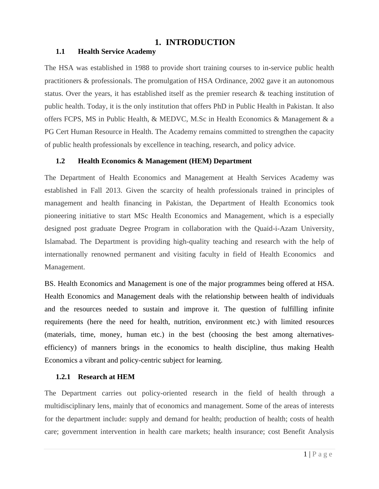#### **1. INTRODUCTION**

#### <span id="page-7-1"></span><span id="page-7-0"></span>**1.1 Health Service Academy**

The HSA was established in 1988 to provide short training courses to in-service public health practitioners & professionals. The promulgation of HSA Ordinance, 2002 gave it an autonomous status. Over the years, it has established itself as the premier research & teaching institution of public health. Today, it is the only institution that offers PhD in Public Health in Pakistan. It also offers FCPS, MS in Public Health, & MEDVC, M.Sc in Health Economics & Management & a PG Cert Human Resource in Health. The Academy remains committed to strengthen the capacity of public health professionals by excellence in teaching, research, and policy advice.

#### <span id="page-7-2"></span>**1.2 Health Economics & Management (HEM) Department**

The Department of Health Economics and Management at Health Services Academy was established in Fall 2013. Given the scarcity of health professionals trained in principles of management and health financing in Pakistan, the Department of Health Economics took pioneering initiative to start MSc Health Economics and Management, which is a especially designed post graduate Degree Program in collaboration with the Quaid-i-Azam University, Islamabad. The Department is providing high-quality teaching and research with the help of internationally renowned permanent and visiting faculty in field of Health Economics and Management.

BS. Health Economics and Management is one of the major programmes being offered at HSA. Health Economics and Management deals with the relationship between health of individuals and the resources needed to sustain and improve it. The question of fulfilling infinite requirements (here the need for health, nutrition, environment etc.) with limited resources (materials, time, money, human etc.) in the best (choosing the best among alternativesefficiency) of manners brings in the economics to health discipline, thus making Health Economics a vibrant and policy-centric subject for learning.

#### <span id="page-7-3"></span>**1.2.1 Research at HEM**

The Department carries out policy-oriented research in the field of health through a multidisciplinary lens, mainly that of economics and management. Some of the areas of interests for the department include: supply and demand for health; production of health; costs of health care; government intervention in health care markets; health insurance; cost Benefit Analysis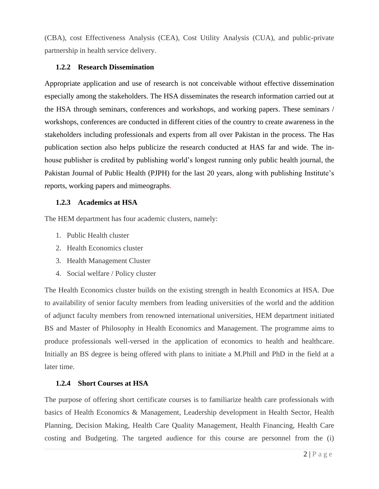(CBA), cost Effectiveness Analysis (CEA), Cost Utility Analysis (CUA), and public-private partnership in health service delivery.

#### <span id="page-8-0"></span>**1.2.2 Research Dissemination**

Appropriate application and use of research is not conceivable without effective dissemination especially among the stakeholders. The HSA disseminates the research information carried out at the HSA through seminars, conferences and workshops, and working papers. These seminars / workshops, conferences are conducted in different cities of the country to create awareness in the stakeholders including professionals and experts from all over Pakistan in the process. The Has publication section also helps publicize the research conducted at HAS far and wide. The inhouse publisher is credited by publishing world's longest running only public health journal, the Pakistan Journal of Public Health (PJPH) for the last 20 years, along with publishing Institute's reports, working papers and mimeographs.

#### <span id="page-8-1"></span>**1.2.3 Academics at HSA**

The HEM department has four academic clusters, namely:

- 1. Public Health cluster
- 2. Health Economics cluster
- 3. Health Management Cluster
- 4. Social welfare / Policy cluster

The Health Economics cluster builds on the existing strength in health Economics at HSA. Due to availability of senior faculty members from leading universities of the world and the addition of adjunct faculty members from renowned international universities, HEM department initiated BS and Master of Philosophy in Health Economics and Management. The programme aims to produce professionals well-versed in the application of economics to health and healthcare. Initially an BS degree is being offered with plans to initiate a M.Phill and PhD in the field at a later time.

#### <span id="page-8-2"></span>**1.2.4 Short Courses at HSA**

The purpose of offering short certificate courses is to familiarize health care professionals with basics of Health Economics & Management, Leadership development in Health Sector, Health Planning, Decision Making, Health Care Quality Management, Health Financing, Health Care costing and Budgeting. The targeted audience for this course are personnel from the (i)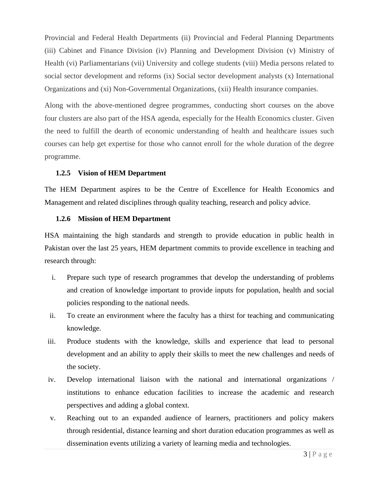Provincial and Federal Health Departments (ii) Provincial and Federal Planning Departments (iii) Cabinet and Finance Division (iv) Planning and Development Division (v) Ministry of Health (vi) Parliamentarians (vii) University and college students (viii) Media persons related to social sector development and reforms (ix) Social sector development analysts (x) International Organizations and (xi) Non-Governmental Organizations, (xii) Health insurance companies.

Along with the above-mentioned degree programmes, conducting short courses on the above four clusters are also part of the HSA agenda, especially for the Health Economics cluster. Given the need to fulfill the dearth of economic understanding of health and healthcare issues such courses can help get expertise for those who cannot enroll for the whole duration of the degree programme.

#### <span id="page-9-0"></span>**1.2.5 Vision of HEM Department**

The HEM Department aspires to be the Centre of Excellence for Health Economics and Management and related disciplines through quality teaching, research and policy advice.

#### <span id="page-9-1"></span>**1.2.6 Mission of HEM Department**

HSA maintaining the high standards and strength to provide education in public health in Pakistan over the last 25 years, HEM department commits to provide excellence in teaching and research through:

- i. Prepare such type of research programmes that develop the understanding of problems and creation of knowledge important to provide inputs for population, health and social policies responding to the national needs.
- ii. To create an environment where the faculty has a thirst for teaching and communicating knowledge.
- iii. Produce students with the knowledge, skills and experience that lead to personal development and an ability to apply their skills to meet the new challenges and needs of the society.
- iv. Develop international liaison with the national and international organizations / institutions to enhance education facilities to increase the academic and research perspectives and adding a global context.
- v. Reaching out to an expanded audience of learners, practitioners and policy makers through residential, distance learning and short duration education programmes as well as dissemination events utilizing a variety of learning media and technologies.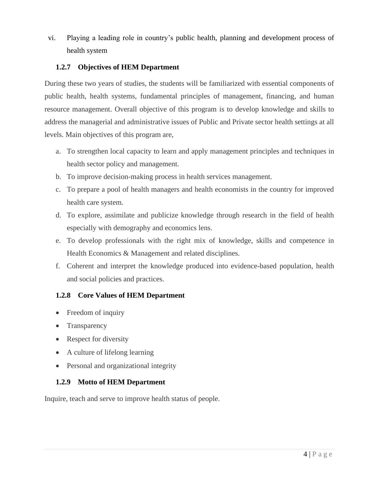vi. Playing a leading role in country's public health, planning and development process of health system

#### <span id="page-10-0"></span>**1.2.7 Objectives of HEM Department**

During these two years of studies, the students will be familiarized with essential components of public health, health systems, fundamental principles of management, financing, and human resource management. Overall objective of this program is to develop knowledge and skills to address the managerial and administrative issues of Public and Private sector health settings at all levels. Main objectives of this program are,

- a. To strengthen local capacity to learn and apply management principles and techniques in health sector policy and management.
- b. To improve decision-making process in health services management.
- c. To prepare a pool of health managers and health economists in the country for improved health care system.
- d. To explore, assimilate and publicize knowledge through research in the field of health especially with demography and economics lens.
- e. To develop professionals with the right mix of knowledge, skills and competence in Health Economics & Management and related disciplines.
- f. Coherent and interpret the knowledge produced into evidence-based population, health and social policies and practices.

#### <span id="page-10-1"></span>**1.2.8 Core Values of HEM Department**

- Freedom of inquiry
- Transparency
- Respect for diversity
- A culture of lifelong learning
- Personal and organizational integrity

#### <span id="page-10-2"></span>**1.2.9 Motto of HEM Department**

Inquire, teach and serve to improve health status of people.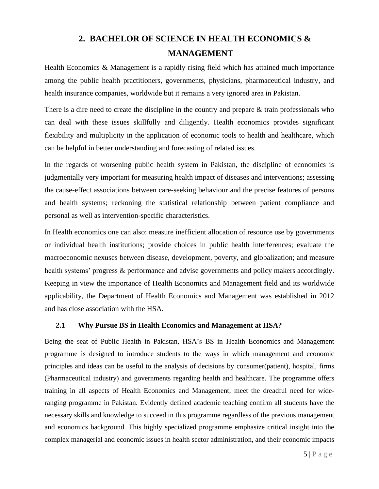## **2. BACHELOR OF SCIENCE IN HEALTH ECONOMICS & MANAGEMENT**

<span id="page-11-0"></span>Health Economics & Management is a rapidly rising field which has attained much importance among the public health practitioners, governments, physicians, pharmaceutical industry, and health insurance companies, worldwide but it remains a very ignored area in Pakistan.

There is a dire need to create the discipline in the country and prepare  $\&$  train professionals who can deal with these issues skillfully and diligently. Health economics provides significant flexibility and multiplicity in the application of economic tools to health and healthcare, which can be helpful in better understanding and forecasting of related issues.

In the regards of worsening public health system in Pakistan, the discipline of economics is judgmentally very important for measuring health impact of diseases and interventions; assessing the cause-effect associations between care-seeking behaviour and the precise features of persons and health systems; reckoning the statistical relationship between patient compliance and personal as well as intervention-specific characteristics.

In Health economics one can also: measure inefficient allocation of resource use by governments or individual health institutions; provide choices in public health interferences; evaluate the macroeconomic nexuses between disease, development, poverty, and globalization; and measure health systems' progress & performance and advise governments and policy makers accordingly. Keeping in view the importance of Health Economics and Management field and its worldwide applicability, the Department of Health Economics and Management was established in 2012 and has close association with the HSA.

#### <span id="page-11-1"></span>**2.1 Why Pursue BS in Health Economics and Management at HSA?**

Being the seat of Public Health in Pakistan, HSA's BS in Health Economics and Management programme is designed to introduce students to the ways in which management and economic principles and ideas can be useful to the analysis of decisions by consumer(patient), hospital, firms (Pharmaceutical industry) and governments regarding health and healthcare. The programme offers training in all aspects of Health Economics and Management, meet the dreadful need for wideranging programme in Pakistan. Evidently defined academic teaching confirm all students have the necessary skills and knowledge to succeed in this programme regardless of the previous management and economics background. This highly specialized programme emphasize critical insight into the complex managerial and economic issues in health sector administration, and their economic impacts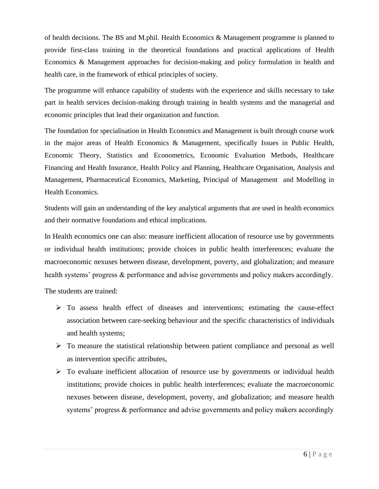of health decisions. The BS and M.phil. Health Economics & Management programme is planned to provide first-class training in the theoretical foundations and practical applications of Health Economics & Management approaches for decision-making and policy formulation in health and health care, in the framework of ethical principles of society.

The programme will enhance capability of students with the experience and skills necessary to take part in health services decision-making through training in health systems and the managerial and economic principles that lead their organization and function.

The foundation for specialisation in Health Economics and Management is built through course work in the major areas of Health Economics & Management, specifically Issues in Public Health, Economic Theory, Statistics and Econometrics, Economic Evaluation Methods, Healthcare Financing and Health Insurance, Health Policy and Planning, Healthcare Organisation, Analysis and Management, Pharmaceutical Economics, Marketing, Principal of Management and Modelling in Health Economics.

Students will gain an understanding of the key analytical arguments that are used in health economics and their normative foundations and ethical implications.

In Health economics one can also: measure inefficient allocation of resource use by governments or individual health institutions; provide choices in public health interferences; evaluate the macroeconomic nexuses between disease, development, poverty, and globalization; and measure health systems' progress & performance and advise governments and policy makers accordingly.

The students are trained:

- ➢ To assess health effect of diseases and interventions; estimating the cause-effect association between care-seeking behaviour and the specific characteristics of individuals and health systems;
- ➢ To measure the statistical relationship between patient compliance and personal as well as intervention specific attributes,
- ➢ To evaluate inefficient allocation of resource use by governments or individual health institutions; provide choices in public health interferences; evaluate the macroeconomic nexuses between disease, development, poverty, and globalization; and measure health systems' progress & performance and advise governments and policy makers accordingly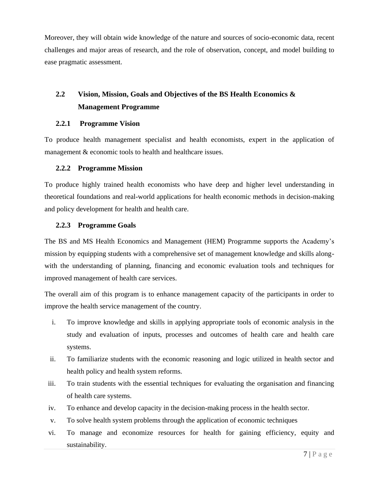Moreover, they will obtain wide knowledge of the nature and sources of socio-economic data, recent challenges and major areas of research, and the role of observation, concept, and model building to ease pragmatic assessment.

### <span id="page-13-0"></span>**2.2 Vision, Mission, Goals and Objectives of the BS Health Economics & Management Programme**

#### <span id="page-13-1"></span>**2.2.1 Programme Vision**

To produce health management specialist and health economists, expert in the application of management & economic tools to health and healthcare issues.

#### <span id="page-13-2"></span>**2.2.2 Programme Mission**

To produce highly trained health economists who have deep and higher level understanding in theoretical foundations and real-world applications for health economic methods in decision-making and policy development for health and health care.

#### <span id="page-13-3"></span>**2.2.3 Programme Goals**

The BS and MS Health Economics and Management (HEM) Programme supports the Academy's mission by equipping students with a comprehensive set of management knowledge and skills alongwith the understanding of planning, financing and economic evaluation tools and techniques for improved management of health care services.

The overall aim of this program is to enhance management capacity of the participants in order to improve the health service management of the country.

- i. To improve knowledge and skills in applying appropriate tools of economic analysis in the study and evaluation of inputs, processes and outcomes of health care and health care systems.
- ii. To familiarize students with the economic reasoning and logic utilized in health sector and health policy and health system reforms.
- iii. To train students with the essential techniques for evaluating the organisation and financing of health care systems.
- iv. To enhance and develop capacity in the decision-making process in the health sector.
- v. To solve health system problems through the application of economic techniques
- vi. To manage and economize resources for health for gaining efficiency, equity and sustainability.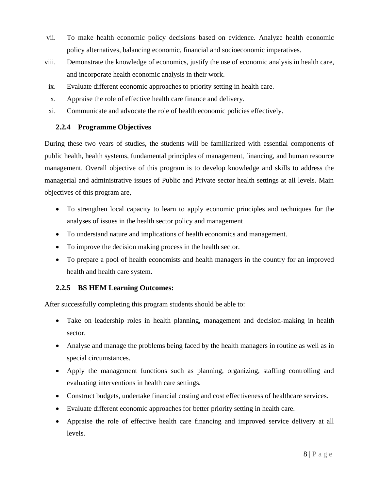- vii. To make health economic policy decisions based on evidence. Analyze health economic policy alternatives, balancing economic, financial and socioeconomic imperatives.
- viii. Demonstrate the knowledge of economics, justify the use of economic analysis in health care, and incorporate health economic analysis in their work.
- ix. Evaluate different economic approaches to priority setting in health care.
- x. Appraise the role of effective health care finance and delivery.
- xi. Communicate and advocate the role of health economic policies effectively.

#### <span id="page-14-0"></span>**2.2.4 Programme Objectives**

During these two years of studies, the students will be familiarized with essential components of public health, health systems, fundamental principles of management, financing, and human resource management. Overall objective of this program is to develop knowledge and skills to address the managerial and administrative issues of Public and Private sector health settings at all levels. Main objectives of this program are,

- To strengthen local capacity to learn to apply economic principles and techniques for the analyses of issues in the health sector policy and management
- To understand nature and implications of health economics and management.
- To improve the decision making process in the health sector.
- To prepare a pool of health economists and health managers in the country for an improved health and health care system.

#### <span id="page-14-1"></span>**2.2.5 BS HEM Learning Outcomes:**

After successfully completing this program students should be able to:

- Take on leadership roles in health planning, management and decision-making in health sector.
- Analyse and manage the problems being faced by the health managers in routine as well as in special circumstances.
- Apply the management functions such as planning, organizing, staffing controlling and evaluating interventions in health care settings.
- Construct budgets, undertake financial costing and cost effectiveness of healthcare services.
- Evaluate different economic approaches for better priority setting in health care.
- Appraise the role of effective health care financing and improved service delivery at all levels.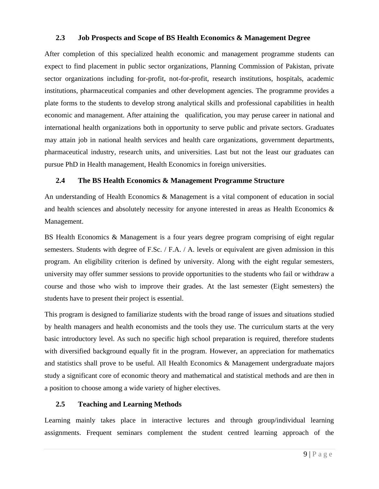#### <span id="page-15-0"></span>**2.3 Job Prospects and Scope of BS Health Economics & Management Degree**

After completion of this specialized health economic and management programme students can expect to find placement in public sector organizations, Planning Commission of Pakistan, private sector organizations including for-profit, not-for-profit, research institutions, hospitals, academic institutions, pharmaceutical companies and other development agencies. The programme provides a plate forms to the students to develop strong analytical skills and professional capabilities in health economic and management. After attaining the qualification, you may peruse career in national and international health organizations both in opportunity to serve public and private sectors. Graduates may attain job in national health services and health care organizations, government departments, pharmaceutical industry, research units, and universities. Last but not the least our graduates can pursue PhD in Health management, Health Economics in foreign universities.

#### <span id="page-15-1"></span>**2.4 The BS Health Economics & Management Programme Structure**

An understanding of Health Economics & Management is a vital component of education in social and health sciences and absolutely necessity for anyone interested in areas as Health Economics & Management.

BS Health Economics & Management is a four years degree program comprising of eight regular semesters. Students with degree of F.Sc. / F.A. / A. levels or equivalent are given admission in this program. An eligibility criterion is defined by university. Along with the eight regular semesters, university may offer summer sessions to provide opportunities to the students who fail or withdraw a course and those who wish to improve their grades. At the last semester (Eight semesters) the students have to present their project is essential.

This program is designed to familiarize students with the broad range of issues and situations studied by health managers and health economists and the tools they use. The curriculum starts at the very basic introductory level. As such no specific high school preparation is required, therefore students with diversified background equally fit in the program. However, an appreciation for mathematics and statistics shall prove to be useful. All Health Economics & Management undergraduate majors study a significant core of economic theory and mathematical and statistical methods and are then in a position to choose among a wide variety of higher electives.

#### <span id="page-15-2"></span>**2.5 Teaching and Learning Methods**

Learning mainly takes place in interactive lectures and through group/individual learning assignments. Frequent seminars complement the student centred learning approach of the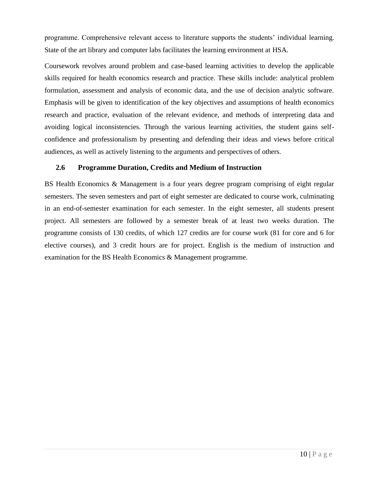programme. Comprehensive relevant access to literature supports the students' individual learning. State of the art library and computer labs facilitates the learning environment at HSA.

Coursework revolves around problem and case-based learning activities to develop the applicable skills required for health economics research and practice. These skills include: analytical problem formulation, assessment and analysis of economic data, and the use of decision analytic software. Emphasis will be given to identification of the key objectives and assumptions of health economics research and practice, evaluation of the relevant evidence, and methods of interpreting data and avoiding logical inconsistencies. Through the various learning activities, the student gains selfconfidence and professionalism by presenting and defending their ideas and views before critical audiences, as well as actively listening to the arguments and perspectives of others.

#### <span id="page-16-0"></span>**2.6 Programme Duration, Credits and Medium of Instruction**

BS Health Economics & Management is a four years degree program comprising of eight regular semesters. The seven semesters and part of eight semester are dedicated to course work, culminating in an end-of-semester examination for each semester. In the eight semester, all students present project. All semesters are followed by a semester break of at least two weeks duration. The programme consists of 130 credits, of which 127 credits are for course work (81 for core and 6 for elective courses), and 3 credit hours are for project. English is the medium of instruction and examination for the BS Health Economics & Management programme.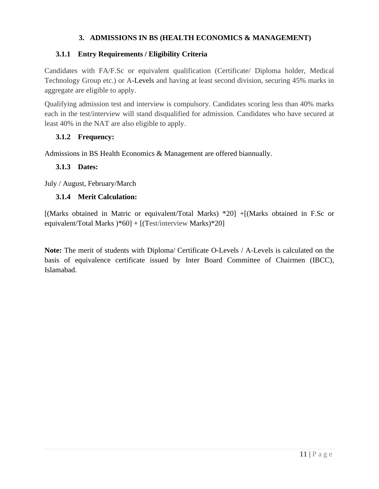#### **3. ADMISSIONS IN BS (HEALTH ECONOMICS & MANAGEMENT)**

#### <span id="page-17-1"></span><span id="page-17-0"></span>**3.1.1 Entry Requirements / Eligibility Criteria**

Candidates with FA/F.Sc or equivalent qualification (Certificate/ Diploma holder, Medical Technology Group etc.) or A-Levels and having at least second division, securing 45% marks in aggregate are eligible to apply.

Qualifying admission test and interview is compulsory. Candidates scoring less than 40% marks each in the test/interview will stand disqualified for admission. Candidates who have secured at least 40% in the NAT are also eligible to apply.

#### <span id="page-17-2"></span>**3.1.2 Frequency:**

Admissions in BS Health Economics & Management are offered biannually.

#### <span id="page-17-3"></span>**3.1.3 Dates:**

July / August, February/March

#### <span id="page-17-4"></span>**3.1.4 Merit Calculation:**

[(Marks obtained in Matric or equivalent/Total Marks) \*20] +[(Marks obtained in F.Sc or equivalent/Total Marks )\*60] + [(Test/interview Marks)\*20]

**Note:** The merit of students with Diploma/ Certificate O-Levels / A-Levels is calculated on the basis of equivalence certificate issued by Inter Board Committee of Chairmen (IBCC), Islamabad.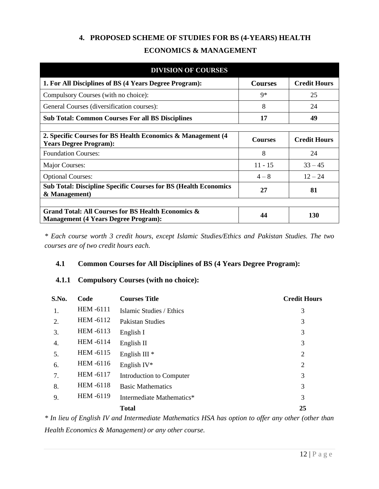## **4. PROPOSED SCHEME OF STUDIES FOR BS (4-YEARS) HEALTH ECONOMICS & MANAGEMENT**

<span id="page-18-0"></span>

| <b>DIVISION OF COURSES</b>                                                                                   |                |                     |  |  |  |  |  |  |
|--------------------------------------------------------------------------------------------------------------|----------------|---------------------|--|--|--|--|--|--|
| 1. For All Disciplines of BS (4 Years Degree Program):                                                       | <b>Courses</b> | <b>Credit Hours</b> |  |  |  |  |  |  |
| Compulsory Courses (with no choice):                                                                         | $9*$           | 25                  |  |  |  |  |  |  |
| General Courses (diversification courses):                                                                   | 8              | 24                  |  |  |  |  |  |  |
| <b>Sub Total: Common Courses For all BS Disciplines</b>                                                      | 17             | 49                  |  |  |  |  |  |  |
|                                                                                                              |                |                     |  |  |  |  |  |  |
| 2. Specific Courses for BS Health Economics & Management (4)<br><b>Years Degree Program):</b>                | <b>Courses</b> | <b>Credit Hours</b> |  |  |  |  |  |  |
| <b>Foundation Courses:</b>                                                                                   | 8              | 24                  |  |  |  |  |  |  |
| Major Courses:                                                                                               | $11 - 15$      | $33 - 45$           |  |  |  |  |  |  |
| <b>Optional Courses:</b>                                                                                     | $4 - 8$        | $12 - 24$           |  |  |  |  |  |  |
| <b>Sub Total: Discipline Specific Courses for BS (Health Economics)</b><br>& Management)                     | 27             | 81                  |  |  |  |  |  |  |
|                                                                                                              |                |                     |  |  |  |  |  |  |
| <b>Grand Total: All Courses for BS Health Economics &amp;</b><br><b>Management (4 Years Degree Program):</b> | 44             | 130                 |  |  |  |  |  |  |

*\* Each course worth 3 credit hours, except Islamic Studies/Ethics and Pakistan Studies. The two courses are of two credit hours each.*

#### <span id="page-18-1"></span>**4.1 Common Courses for All Disciplines of BS (4 Years Degree Program):**

#### <span id="page-18-2"></span>**4.1.1 Compulsory Courses (with no choice):**

| S.No. | Code               | <b>Courses Title</b>      | <b>Credit Hours</b> |
|-------|--------------------|---------------------------|---------------------|
| 1.    | <b>HEM-6111</b>    | Islamic Studies / Ethics  | 3                   |
| 2.    | <b>HEM -6112</b>   | <b>Pakistan Studies</b>   | 3                   |
| 3.    | HEM -6113          | English I                 | 3                   |
| 4.    | HEM -6114          | English $\Pi$             | 3                   |
| 5.    | <b>HEM -6115</b>   | English III $*$           | $\overline{2}$      |
| 6.    | HEM -6116          | English $IV^*$            | $\overline{2}$      |
| 7.    | <b>HEM -6117</b>   | Introduction to Computer  | 3                   |
| 8.    | <b>HEM -6118</b>   | <b>Basic Mathematics</b>  | 3                   |
| 9.    | <b>HEM-6119</b>    | Intermediate Mathematics* | 3                   |
|       |                    | <b>Total</b>              | 25                  |
|       | $\sim$ $\sim$<br>. | $- - - -$                 | $\alpha$            |

*\* In lieu of English IV and Intermediate Mathematics HSA has option to offer any other (other than Health Economics & Management) or any other course.*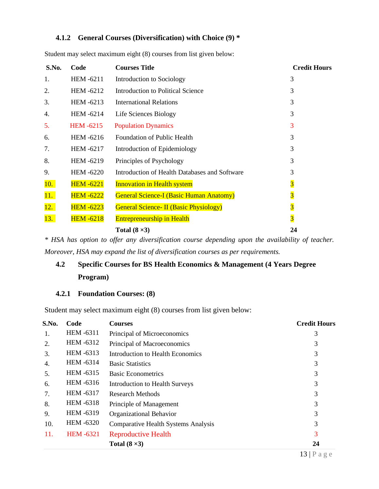#### <span id="page-19-0"></span>**4.1.2 General Courses (Diversification) with Choice (9) \***

| S.No. | Code             | <b>Courses Title</b>                           | <b>Credit Hours</b>     |
|-------|------------------|------------------------------------------------|-------------------------|
| 1.    | HEM -6211        | Introduction to Sociology                      | 3                       |
| 2.    | HEM-6212         | Introduction to Political Science              | 3                       |
| 3.    | HEM-6213         | <b>International Relations</b>                 | 3                       |
| 4.    | HEM -6214        | Life Sciences Biology                          | 3                       |
| 5.    | <b>HEM -6215</b> | <b>Population Dynamics</b>                     | 3                       |
| 6.    | HEM -6216        | <b>Foundation of Public Health</b>             | 3                       |
| 7.    | HEM -6217        | Introduction of Epidemiology                   | 3                       |
| 8.    | HEM-6219         | Principles of Psychology                       | 3                       |
| 9.    | <b>HEM-6220</b>  | Introduction of Health Databases and Software  | 3                       |
| 10.   | <b>HEM -6221</b> | <b>Innovation in Health system</b>             | $\overline{\mathbf{3}}$ |
| 11.   | <b>HEM -6222</b> | <b>General Science-I (Basic Human Anatomy)</b> | $\overline{\mathbf{3}}$ |
| 12.   | <b>HEM -6223</b> | <b>General Science- II (Basic Physiology)</b>  | $\overline{\mathbf{3}}$ |
| 13.   | <b>HEM -6218</b> | <b>Entrepreneurship in Health</b>              | $\overline{\mathbf{3}}$ |
|       |                  | Total $(8 \times 3)$                           | 24                      |
|       |                  |                                                |                         |

Student may select maximum eight (8) courses from list given below:

*\* HSA has option to offer any diversification course depending upon the availability of teacher. Moreover, HSA may expand the list of diversification courses as per requirements.*

## <span id="page-19-1"></span>**4.2 Specific Courses for BS Health Economics & Management (4 Years Degree Program)**

#### <span id="page-19-2"></span>**4.2.1 Foundation Courses: (8)**

Student may select maximum eight (8) courses from list given below:

| S.No. | Code             | <b>Courses</b>                             | <b>Credit Hours</b>      |
|-------|------------------|--------------------------------------------|--------------------------|
| 1.    | <b>HEM -6311</b> | Principal of Microeconomics                | 3                        |
| 2.    | <b>HEM -6312</b> | Principal of Macroeconomics                | 3                        |
| 3.    | HEM -6313        | Introduction to Health Economics           | 3                        |
| 4.    | <b>HEM -6314</b> | <b>Basic Statistics</b>                    | 3                        |
| 5.    | <b>HEM -6315</b> | <b>Basic Econometrics</b>                  | 3                        |
| 6.    | <b>HEM -6316</b> | <b>Introduction to Health Surveys</b>      | 3                        |
| 7.    | <b>HEM -6317</b> | <b>Research Methods</b>                    | 3                        |
| 8.    | <b>HEM -6318</b> | Principle of Management                    | 3                        |
| 9.    | <b>HEM -6319</b> | Organizational Behavior                    | 3                        |
| 10.   | <b>HEM -6320</b> | <b>Comparative Health Systems Analysis</b> | 3                        |
| 11.   | <b>HEM -6321</b> | <b>Reproductive Health</b>                 | 3                        |
|       |                  | Total $(8 \times 3)$                       | 24                       |
|       |                  |                                            | $12 \mid D \circ \sigma$ |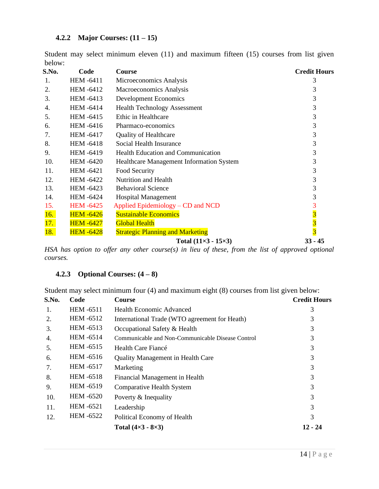#### <span id="page-20-0"></span>**4.2.2 Major Courses: (11 – 15)**

Student may select minimum eleven (11) and maximum fifteen (15) courses from list given below:

| S.No. | Code             | Course                                    | <b>Credit Hours</b>     |
|-------|------------------|-------------------------------------------|-------------------------|
| 1.    | <b>HEM -6411</b> | Microeconomics Analysis                   | 3                       |
| 2.    | <b>HEM-6412</b>  | Macroeconomics Analysis                   | 3                       |
| 3.    | HEM -6413        | <b>Development Economics</b>              | 3                       |
| 4.    | <b>HEM -6414</b> | <b>Health Technology Assessment</b>       | 3                       |
| 5.    | HEM -6415        | Ethic in Healthcare                       | 3                       |
| 6.    | <b>HEM -6416</b> | Pharmaco-economics                        | 3                       |
| 7.    | <b>HEM -6417</b> | <b>Quality of Healthcare</b>              | 3                       |
| 8.    | <b>HEM-6418</b>  | Social Health Insurance                   | 3                       |
| 9.    | <b>HEM -6419</b> | <b>Health Education and Communication</b> | 3                       |
| 10.   | <b>HEM -6420</b> | Healthcare Management Information System  | 3                       |
| 11.   | <b>HEM -6421</b> | Food Security                             | 3                       |
| 12.   | <b>HEM-6422</b>  | Nutrition and Health                      | 3                       |
| 13.   | HEM -6423        | <b>Behavioral Science</b>                 | 3                       |
| 14.   | <b>HEM -6424</b> | <b>Hospital Management</b>                | 3                       |
| 15.   | <b>HEM-6425</b>  | Applied Epidemiology – CD and NCD         |                         |
| 16.   | <b>HEM -6426</b> | <b>Sustainable Economics</b>              |                         |
| 17.   | <b>HEM -6427</b> | <b>Global Health</b>                      | $\overline{\mathbf{3}}$ |
| 18.   | <b>HEM -6428</b> | <b>Strategic Planning and Marketing</b>   | $\overline{\mathbf{3}}$ |
|       |                  | Total $(11\times3 - 15\times3)$           | $33 - 45$               |

*HSA has option to offer any other course(s) in lieu of these, from the list of approved optional courses.*

#### <span id="page-20-1"></span>**4.2.3 Optional Courses: (4 – 8)**

Student may select minimum four (4) and maximum eight (8) courses from list given below:

| S.No. | Code             | <b>Course</b>                                     | <b>Credit Hours</b> |
|-------|------------------|---------------------------------------------------|---------------------|
| 1.    | <b>HEM-6511</b>  | <b>Health Economic Advanced</b>                   | 3                   |
| 2.    | <b>HEM -6512</b> | International Trade (WTO agreement for Heath)     | 3                   |
| 3.    | <b>HEM -6513</b> | Occupational Safety & Health                      | 3                   |
| 4.    | HEM -6514        | Communicable and Non-Communicable Disease Control | 3                   |
| 5.    | <b>HEM -6515</b> | Health Care Fiancé                                | 3                   |
| 6.    | <b>HEM -6516</b> | <b>Quality Management in Health Care</b>          | 3                   |
| 7.    | <b>HEM -6517</b> | Marketing                                         | 3                   |
| 8.    | <b>HEM -6518</b> | Financial Management in Health                    | 3                   |
| 9.    | <b>HEM -6519</b> | <b>Comparative Health System</b>                  | 3                   |
| 10.   | HEM -6520        | Poverty & Inequality                              | 3                   |
| 11.   | <b>HEM -6521</b> | Leadership                                        | 3                   |
| 12.   | <b>HEM -6522</b> | Political Economy of Health                       | 3                   |
|       |                  | Total $(4\times3 - 8\times3)$                     | 12 - 24             |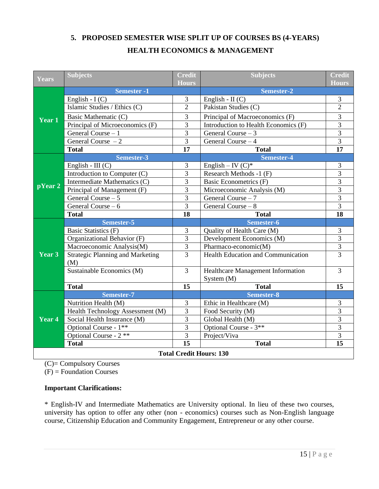### <span id="page-21-0"></span>**5. PROPOSED SEMESTER WISE SPLIT UP OF COURSES BS (4-YEARS) HEALTH ECONOMICS & MANAGEMENT**

| <b>Subjects</b><br><b>Credit</b><br>Years |                                                  | <b>Subjects</b>     | <b>Credit</b>                             |                |
|-------------------------------------------|--------------------------------------------------|---------------------|-------------------------------------------|----------------|
|                                           |                                                  | <b>Hours</b>        |                                           | <b>Hours</b>   |
|                                           | <b>Semester -1</b>                               | $\mathfrak{Z}$      | Semester-2                                | $\mathfrak{Z}$ |
|                                           | English - $I(C)$<br>Islamic Studies / Ethics (C) | $\overline{2}$      | English - $II(C)$<br>Pakistan Studies (C) | $\overline{2}$ |
|                                           |                                                  |                     |                                           |                |
| Year 1                                    | Basic Mathematic (C)                             | 3                   | Principal of Macroeconomics (F)           | 3              |
|                                           | Principal of Microeconomics (F)                  | $\overline{3}$      | Introduction to Health Economics (F)      | $\overline{3}$ |
|                                           | General Course - 1                               | 3                   | General Course $-3$                       | $\mathfrak{Z}$ |
|                                           | General Course $-2$                              | $\overline{3}$      | General Course - 4                        | $\overline{3}$ |
|                                           | <b>Total</b>                                     | 17                  | <b>Total</b>                              | 17             |
|                                           | Semester-3                                       |                     | Semester-4                                |                |
|                                           | English - III $(C)$                              | 3                   | English – IV $(C)^*$                      | 3              |
|                                           | Introduction to Computer (C)                     | 3                   | Research Methods -1 (F)                   | $\overline{3}$ |
| $\overline{\mathbf{pYear}\,2}$            | Intermediate Mathematics (C)                     | 3                   | <b>Basic Econometrics (F)</b>             | $\overline{3}$ |
|                                           | Principal of Management (F)                      | $\overline{3}$<br>3 | Microeconomic Analysis (M)                | $\overline{3}$ |
|                                           | General Course $-5$                              |                     | General Course - 7                        | 3              |
|                                           | General Course - 6                               | $\overline{3}$      | General Course - 8                        | $\overline{3}$ |
|                                           | <b>Total</b>                                     | 18                  | <b>Total</b>                              | 18             |
|                                           | Semester-5                                       |                     | Semester-6                                |                |
|                                           | Basic Statistics (F)                             | 3                   | Quality of Health Care (M)                | 3              |
|                                           | Organizational Behavior (F)                      | $\overline{3}$      | Development Economics (M)                 | $\overline{3}$ |
|                                           | Macroeconomic Analysis(M)                        | 3                   | Pharmaco-economic(M)                      | 3              |
| Year 3                                    | <b>Strategic Planning and Marketing</b>          | 3                   | Health Education and Communication        | $\overline{3}$ |
|                                           | (M)                                              |                     |                                           |                |
|                                           | Sustainable Economics (M)                        | $\overline{3}$      | Healthcare Management Information         | $\overline{3}$ |
|                                           |                                                  |                     | System $(M)$                              |                |
|                                           | <b>Total</b>                                     | 15                  | <b>Total</b>                              | 15             |
|                                           | <b>Semester-7</b>                                |                     | Semester-8                                |                |
|                                           | Nutrition Health (M)                             | 3                   | Ethic in Healthcare (M)                   | $\mathfrak{Z}$ |
|                                           | Health Technology Assessment (M)                 | 3                   | Food Security (M)                         | 3              |
| $Year$ 4                                  | Social Health Insurance (M)                      | $\overline{3}$      | Global Health (M)                         | $\overline{3}$ |
|                                           | Optional Course - 1**                            | 3                   | Optional Course - 3**                     | $\overline{3}$ |
|                                           | Optional Course - 2 **                           | 3                   | Project/Viva                              | 3              |
|                                           | <b>Total</b>                                     | 15                  | <b>Total</b>                              | 15             |
|                                           |                                                  |                     | <b>Total Credit Hours: 130</b>            |                |

(C)= Compulsory Courses

 $(F)$  = Foundation Courses

#### **Important Clarifications:**

\* English-IV and Intermediate Mathematics are University optional. In lieu of these two courses, university has option to offer any other (non - economics) courses such as Non-English language course, Citizenship Education and Community Engagement, Entrepreneur or any other course.